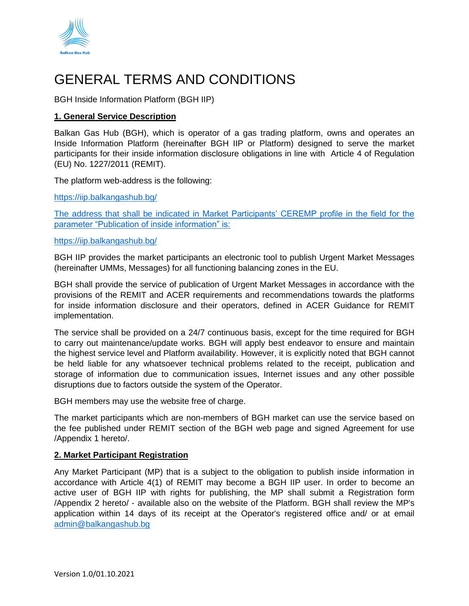

# GENERAL TERMS AND CONDITIONS

BGH Inside Information Platform (BGH IIP)

# **1. General Service Description**

Balkan Gas Hub (BGH), which is operator of a gas trading platform, owns and operates an Inside Information Platform (hereinafter BGH IIP or Platform) designed to serve the market participants for their inside information disclosure obligations in line with Article 4 of Regulation (EU) No. 1227/2011 (REMIT).

The platform web-address is the following:

[https://iip.balkangashub.bg/](http://iip.balkangashub.bg/)

The address that shall be indicated in Market Participants' CEREMP profile in the field for the parameter "Publication of inside information" is:

#### https://iip.balkangashub.bg/

BGH IIP provides the market participants an electronic tool to publish Urgent Market Messages (hereinafter UMMs, Messages) for all functioning balancing zones in the EU.

BGH shall provide the service of publication of Urgent Market Messages in accordance with the provisions of the REMIT and ACER requirements and recommendations towards the platforms for inside information disclosure and their operators, defined in ACER Guidance for REMIT implementation.

The service shall be provided on a 24/7 continuous basis, except for the time required for BGH to carry out maintenance/update works. BGH will apply best endeavor to ensure and maintain the highest service level and Platform availability. However, it is explicitly noted that BGH cannot be held liable for any whatsoever technical problems related to the receipt, publication and storage of information due to communication issues, Internet issues and any other possible disruptions due to factors outside the system of the Operator.

BGH members may use the website free of charge.

The market participants which are non-members of BGH market can use the service based on the fee published under REMIT section of the BGH web page and signed Agreement for use /Appendix 1 hereto/.

# **2. Market Participant Registration**

Any Market Participant (MP) that is a subject to the obligation to publish inside information in accordance with Article 4(1) of REMIT may become a BGH IIP user. In order to become an active user of BGH IIP with rights for publishing, the MP shall submit a Registration form /Appendix 2 hereto/ - available also on the website of the Platform. BGH shall review the MP's application within 14 days of its receipt at the Operator's registered office and/ or at email [admin@balkangashub.bg](mailto:admin@balkangashub.bg)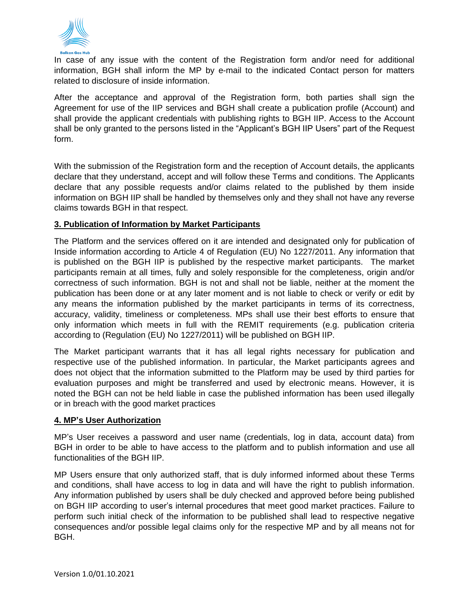

In case of any issue with the content of the Registration form and/or need for additional information, BGH shall inform the MP by e-mail to the indicated Contact person for matters related to disclosure of inside information.

After the acceptance and approval of the Registration form, both parties shall sign the Agreement for use of the IIP services and BGH shall create a publication profile (Account) and shall provide the applicant credentials with publishing rights to BGH IIP. Access to the Account shall be only granted to the persons listed in the "Applicant's BGH IIP Users" part of the Request form.

With the submission of the Registration form and the reception of Account details, the applicants declare that they understand, accept and will follow these Terms and conditions. The Applicants declare that any possible requests and/or claims related to the published by them inside information on BGH IIP shall be handled by themselves only and they shall not have any reverse claims towards BGH in that respect.

# **3. Publication of Information by Market Participants**

The Platform and the services offered on it are intended and designated only for publication of Inside information according to Article 4 of Regulation (EU) No 1227/2011. Any information that is published on the BGH IIP is published by the respective market participants. The market participants remain at all times, fully and solely responsible for the completeness, origin and/or correctness of such information. BGH is not and shall not be liable, neither at the moment the publication has been done or at any later moment and is not liable to check or verify or edit by any means the information published by the market participants in terms of its correctness, accuracy, validity, timeliness or completeness. MPs shall use their best efforts to ensure that only information which meets in full with the REMIT requirements (e.g. publication criteria according to (Regulation (EU) No 1227/2011) will be published on BGH IIP.

The Market participant warrants that it has all legal rights necessary for publication and respective use of the published information. In particular, the Market participants agrees and does not object that the information submitted to the Platform may be used by third parties for evaluation purposes and might be transferred and used by electronic means. However, it is noted the BGH can not be held liable in case the published information has been used illegally or in breach with the good market practices

# **4. MP's User Authorization**

MP's User receives a password and user name (credentials, log in data, account data) from BGH in order to be able to have access to the platform and to publish information and use all functionalities of the BGH IIP.

MP Users ensure that only authorized staff, that is duly informed informed about these Terms and conditions, shall have access to log in data and will have the right to publish information. Any information published by users shall be duly checked and approved before being published on BGH IIP according to user's internal procedures that meet good market practices. Failure to perform such initial check of the information to be published shall lead to respective negative consequences and/or possible legal claims only for the respective MP and by all means not for BGH.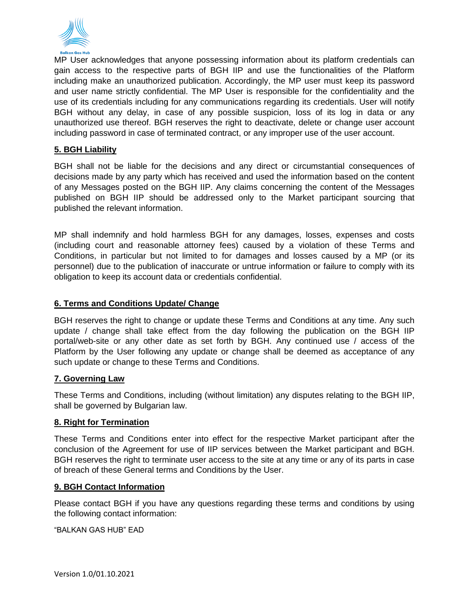

MP User acknowledges that anyone possessing information about its platform credentials can gain access to the respective parts of BGH IIP and use the functionalities of the Platform including make an unauthorized publication. Accordingly, the MP user must keep its password and user name strictly confidential. The MP User is responsible for the confidentiality and the use of its credentials including for any communications regarding its credentials. User will notify BGH without any delay, in case of any possible suspicion, loss of its log in data or any unauthorized use thereof. BGH reserves the right to deactivate, delete or change user account including password in case of terminated contract, or any improper use of the user account.

# **5. BGH Liability**

BGH shall not be liable for the decisions and any direct or circumstantial consequences of decisions made by any party which has received and used the information based on the content of any Messages posted on the BGH IIP. Any claims concerning the content of the Messages published on BGH IIP should be addressed only to the Market participant sourcing that published the relevant information.

MP shall indemnify and hold harmless BGH for any damages, losses, expenses and costs (including court and reasonable attorney fees) caused by a violation of these Terms and Conditions, in particular but not limited to for damages and losses caused by a MP (or its personnel) due to the publication of inaccurate or untrue information or failure to comply with its obligation to keep its account data or credentials confidential.

# **6. Terms and Conditions Update/ Change**

BGH reserves the right to change or update these Terms and Conditions at any time. Any such update / change shall take effect from the day following the publication on the BGH IIP portal/web-site or any other date as set forth by BGH. Any continued use / access of the Platform by the User following any update or change shall be deemed as acceptance of any such update or change to these Terms and Conditions.

# **7. Governing Law**

These Terms and Conditions, including (without limitation) any disputes relating to the BGH IIP, shall be governed by Bulgarian law.

# **8. Right for Termination**

These Terms and Conditions enter into effect for the respective Market participant after the conclusion of the Agreement for use of IIP services between the Market participant and BGH. BGH reserves the right to terminate user access to the site at any time or any of its parts in case of breach of these General terms and Conditions by the User.

# **9. BGH Contact Information**

Please contact BGH if you have any questions regarding these terms and conditions by using the following contact information:

"BALKAN GAS HUB" EAD